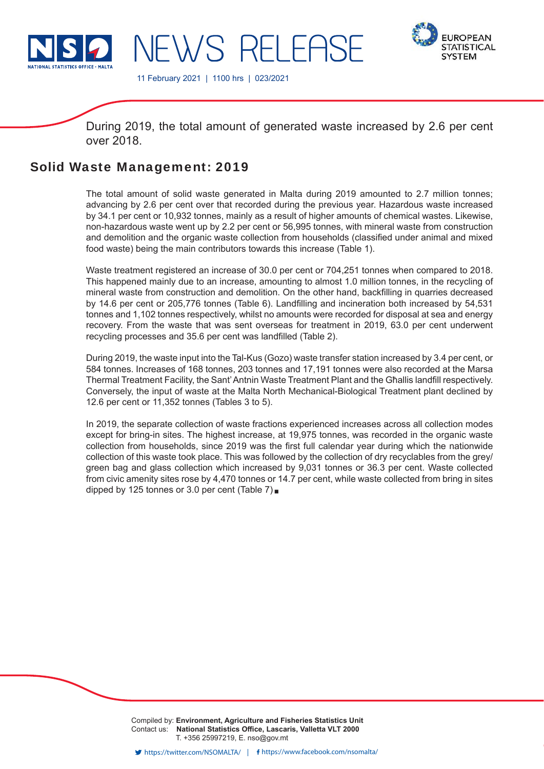

**FUROPEAN STATISTICAL SYSTEM** 

11 February 2021 | 1100 hrs | 023/2021

NEWS RELEASE

During 2019, the total amount of generated waste increased by 2.6 per cent over 2018.

# Solid Waste Management: 2019

The total amount of solid waste generated in Malta during 2019 amounted to 2.7 million tonnes; advancing by 2.6 per cent over that recorded during the previous year. Hazardous waste increased by 34.1 per cent or 10,932 tonnes, mainly as a result of higher amounts of chemical wastes. Likewise, non-hazardous waste went up by 2.2 per cent or 56,995 tonnes, with mineral waste from construction and demolition and the organic waste collection from households (classified under animal and mixed food waste) being the main contributors towards this increase (Table 1).

Waste treatment registered an increase of 30.0 per cent or 704,251 tonnes when compared to 2018. This happened mainly due to an increase, amounting to almost 1.0 million tonnes, in the recycling of mineral waste from construction and demolition. On the other hand, backfilling in quarries decreased by 14.6 per cent or 205,776 tonnes (Table 6). Landfilling and incineration both increased by 54,531 tonnes and 1,102 tonnes respectively, whilst no amounts were recorded for disposal at sea and energy recovery. From the waste that was sent overseas for treatment in 2019, 63.0 per cent underwent recycling processes and 35.6 per cent was landfilled (Table 2).

During 2019, the waste input into the Tal-Kus (Gozo) waste transfer station increased by 3.4 per cent, or 584 tonnes. Increases of 168 tonnes, 203 tonnes and 17,191 tonnes were also recorded at the Marsa Thermal Treatment Facility, the Sant' Antnin Waste Treatment Plant and the Għallis landfill respectively. Conversely, the input of waste at the Malta North Mechanical-Biological Treatment plant declined by 12.6 per cent or 11,352 tonnes (Tables 3 to 5).

In 2019, the separate collection of waste fractions experienced increases across all collection modes except for bring-in sites. The highest increase, at 19,975 tonnes, was recorded in the organic waste collection from households, since 2019 was the first full calendar year during which the nationwide collection of this waste took place. This was followed by the collection of dry recyclables from the grey/ green bag and glass collection which increased by 9,031 tonnes or 36.3 per cent. Waste collected from civic amenity sites rose by 4,470 tonnes or 14.7 per cent, while waste collected from bring in sites dipped by 125 tonnes or 3.0 per cent (Table 7)■

> Compiled by: **Environment, Agriculture and Fisheries Statistics Unit** Contact us: National Statistics Office, Lascaris, Valletta VLT 2000 T. +356 25997219, E. nso@gov.mt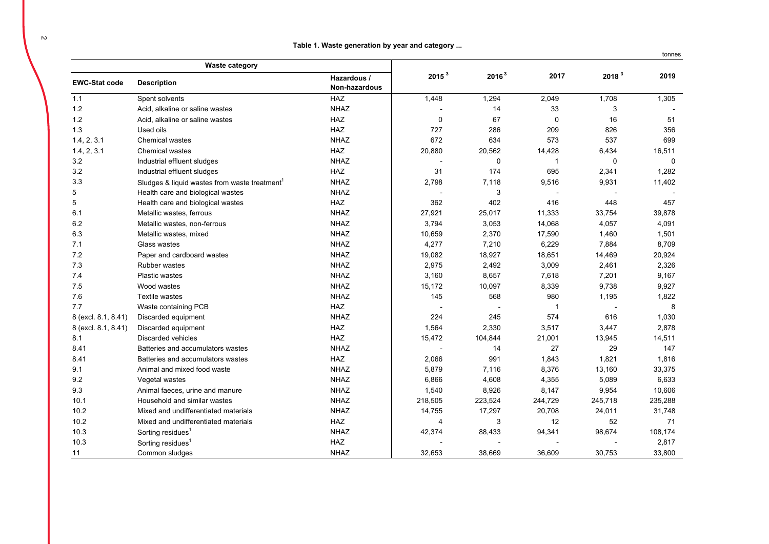|  |  |  | Table 1. Waste generation by year and category |  |  |  |  |
|--|--|--|------------------------------------------------|--|--|--|--|
|--|--|--|------------------------------------------------|--|--|--|--|

|                      | <b>Waste category</b>                                     |                              |                          |                   |              |                          |              |
|----------------------|-----------------------------------------------------------|------------------------------|--------------------------|-------------------|--------------|--------------------------|--------------|
| <b>EWC-Stat code</b> | <b>Description</b>                                        | Hazardous /<br>Non-hazardous | 2015 <sup>3</sup>        | 2016 <sup>3</sup> | 2017         | 2018 <sup>3</sup>        | 2019         |
| 1.1                  | Spent solvents                                            | <b>HAZ</b>                   | 1,448                    | 1,294             | 2,049        | 1,708                    | 1,305        |
| 1.2                  | Acid, alkaline or saline wastes                           | <b>NHAZ</b>                  |                          | 14                | 33           | 3                        |              |
| 1.2                  | Acid, alkaline or saline wastes                           | <b>HAZ</b>                   | $\mathbf 0$              | 67                | $\mathbf 0$  | 16                       | 51           |
| 1.3                  | Used oils                                                 | <b>HAZ</b>                   | 727                      | 286               | 209          | 826                      | 356          |
| 1.4, 2, 3.1          | Chemical wastes                                           | <b>NHAZ</b>                  | 672                      | 634               | 573          | 537                      | 699          |
| 1.4, 2, 3.1          | Chemical wastes                                           | <b>HAZ</b>                   | 20,880                   | 20,562            | 14,428       | 6,434                    | 16,511       |
| 3.2                  | Industrial effluent sludges                               | <b>NHAZ</b>                  |                          | 0                 | 1            | $\mathbf 0$              | $\mathbf{0}$ |
| 3.2                  | Industrial effluent sludges                               | <b>HAZ</b>                   | 31                       | 174               | 695          | 2,341                    | 1,282        |
| 3.3                  | Sludges & liquid wastes from waste treatment <sup>1</sup> | <b>NHAZ</b>                  | 2,798                    | 7,118             | 9,516        | 9,931                    | 11,402       |
| 5                    | Health care and biological wastes                         | <b>NHAZ</b>                  |                          | 3                 |              |                          |              |
| 5                    | Health care and biological wastes                         | <b>HAZ</b>                   | 362                      | 402               | 416          | 448                      | 457          |
| 6.1                  | Metallic wastes, ferrous                                  | <b>NHAZ</b>                  | 27,921                   | 25,017            | 11,333       | 33,754                   | 39,878       |
| 6.2                  | Metallic wastes, non-ferrous                              | <b>NHAZ</b>                  | 3,794                    | 3,053             | 14,068       | 4,057                    | 4,091        |
| 6.3                  | Metallic wastes, mixed                                    | <b>NHAZ</b>                  | 10,659                   | 2,370             | 17,590       | 1,460                    | 1,501        |
| 7.1                  | Glass wastes                                              | <b>NHAZ</b>                  | 4,277                    | 7,210             | 6,229        | 7,884                    | 8,709        |
| 7.2                  | Paper and cardboard wastes                                | <b>NHAZ</b>                  | 19,082                   | 18,927            | 18,651       | 14,469                   | 20,924       |
| 7.3                  | <b>Rubber wastes</b>                                      | <b>NHAZ</b>                  | 2,975                    | 2,492             | 3,009        | 2,461                    | 2,326        |
| 7.4                  | Plastic wastes                                            | <b>NHAZ</b>                  | 3,160                    | 8,657             | 7,618        | 7,201                    | 9,167        |
| 7.5                  | Wood wastes                                               | <b>NHAZ</b>                  | 15,172                   | 10,097            | 8,339        | 9,738                    | 9,927        |
| 7.6                  | Textile wastes                                            | <b>NHAZ</b>                  | 145                      | 568               | 980          | 1,195                    | 1,822        |
| 7.7                  | Waste containing PCB                                      | HAZ                          | $\overline{\phantom{a}}$ |                   | $\mathbf{1}$ | $\overline{\phantom{a}}$ | 8            |
| 8 (excl. 8.1, 8.41)  | Discarded equipment                                       | <b>NHAZ</b>                  | 224                      | 245               | 574          | 616                      | 1,030        |
| 8 (excl. 8.1, 8.41)  | Discarded equipment                                       | HAZ                          | 1,564                    | 2,330             | 3,517        | 3,447                    | 2,878        |
| 8.1                  | <b>Discarded vehicles</b>                                 | <b>HAZ</b>                   | 15,472                   | 104,844           | 21,001       | 13,945                   | 14,511       |
| 8.41                 | Batteries and accumulators wastes                         | <b>NHAZ</b>                  | $\blacksquare$           | 14                | 27           | 29                       | 147          |
| 8.41                 | Batteries and accumulators wastes                         | <b>HAZ</b>                   | 2,066                    | 991               | 1,843        | 1,821                    | 1,816        |
| 9.1                  | Animal and mixed food waste                               | <b>NHAZ</b>                  | 5,879                    | 7,116             | 8,376        | 13,160                   | 33,375       |
| 9.2                  | Vegetal wastes                                            | <b>NHAZ</b>                  | 6,866                    | 4,608             | 4,355        | 5,089                    | 6,633        |
| 9.3                  | Animal faeces, urine and manure                           | <b>NHAZ</b>                  | 1,540                    | 8,926             | 8,147        | 9,954                    | 10,606       |
| 10.1                 | Household and similar wastes                              | <b>NHAZ</b>                  | 218,505                  | 223,524           | 244,729      | 245,718                  | 235,288      |
| 10.2                 | Mixed and undifferentiated materials                      | <b>NHAZ</b>                  | 14,755                   | 17,297            | 20,708       | 24,011                   | 31,748       |
| 10.2                 | Mixed and undifferentiated materials                      | HAZ                          | $\overline{4}$           | 3                 | 12           | 52                       | 71           |
| 10.3                 | Sorting residues <sup>1</sup>                             | <b>NHAZ</b>                  | 42,374                   | 88,433            | 94,341       | 98,674                   | 108,174      |
| 10.3                 | Sorting residues <sup>1</sup>                             | HAZ                          |                          |                   |              |                          | 2,817        |
| 11                   | Common sludges                                            | <b>NHAZ</b>                  | 32,653                   | 38,669            | 36,609       | 30,753                   | 33,800       |

tonnes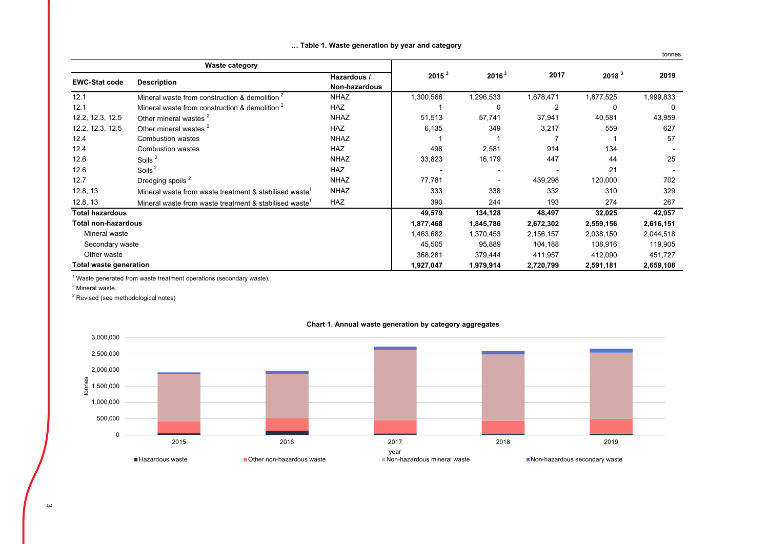|                               |                                                           |               |                   |                          |                |                   | tonnes    |
|-------------------------------|-----------------------------------------------------------|---------------|-------------------|--------------------------|----------------|-------------------|-----------|
|                               | <b>Waste category</b>                                     |               |                   |                          |                |                   | 2019      |
| <b>EWC-Stat code</b>          | <b>Description</b>                                        | Hazardous /   | 2015 <sup>3</sup> | 2016 <sup>3</sup>        | 2017           | 2018 <sup>3</sup> |           |
|                               |                                                           | Non-hazardous |                   |                          |                |                   |           |
| 12.1                          | Mineral waste from construction & demolition <sup>2</sup> | <b>NHAZ</b>   | 1,300,566         | 1,296,533                | 1,678,471      | 1,877,525         | 1,999,833 |
| 12.1                          | Mineral waste from construction & demolition <sup>2</sup> | HAZ           |                   | 0                        | $\overline{2}$ | 0                 | 0         |
| 12.2, 12.3, 12.5              | Other mineral wastes <sup>2</sup>                         | <b>NHAZ</b>   | 51,513            | 57,741                   | 37,941         | 40,581            | 43,959    |
| 12.2, 12.3, 12.5              | Other mineral wastes <sup>2</sup>                         | <b>HAZ</b>    | 6,135             | 349                      | 3,217          | 559               | 627       |
| 12.4                          | <b>Combustion wastes</b>                                  | <b>NHAZ</b>   |                   |                          |                |                   | 57        |
| 12.4                          | <b>Combustion wastes</b>                                  | <b>HAZ</b>    | 498               | 2,581                    | 914            | 134               |           |
| 12.6                          | Soils <sup>2</sup>                                        | <b>NHAZ</b>   | 33,823            | 16,179                   | 447            | 44                | 25        |
| 12.6                          | Soils <sup>2</sup>                                        | <b>HAZ</b>    |                   | $\overline{\phantom{0}}$ |                | 21                |           |
| 12.7                          | Dredging spoils <sup>2</sup>                              | <b>NHAZ</b>   | 77,781            | $\blacksquare$           | 439,298        | 120,000           | 702       |
| 12.8, 13                      | Mineral waste from waste treatment & stabilised waste     | <b>NHAZ</b>   | 333               | 338                      | 332            | 310               | 329       |
| 12.8, 13                      | Mineral waste from waste treatment & stabilised waste     | <b>HAZ</b>    | 390               | 244                      | 193            | 274               | 267       |
| <b>Total hazardous</b>        |                                                           |               | 49,579            | 134,128                  | 48,497         | 32,025            | 42,957    |
| <b>Total non-hazardous</b>    |                                                           |               | 1,877,468         | 1,845,786                | 2,672,302      | 2,559,156         | 2,616,151 |
| Mineral waste                 |                                                           |               | 1,463,682         | 1,370,453                | 2,156,157      | 2,038,150         | 2,044,518 |
| Secondary waste               |                                                           |               | 45,505            | 95,889                   | 104,188        | 108,916           | 119,905   |
| Other waste                   |                                                           |               | 368,281           | 379,444                  | 411,957        | 412,090           | 451,727   |
| <b>Total waste generation</b> |                                                           |               | 1,927,047         | 1,979,914                | 2,720,799      | 2,591,181         | 2,659,108 |

#### **… Table 1. Waste generation by year and category**

 $1$  Waste generated from waste treatment operations (secondary waste).

<sup>2</sup> Mineral waste.

 $3$  Revised (see methodological notes)



## **Chart 1. Annual waste generation by category aggregates**

 $\omega$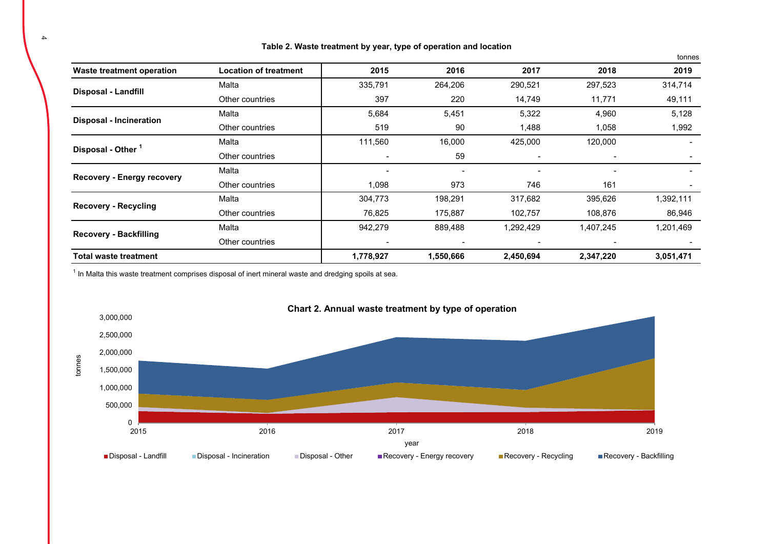|                                   |                              |                          |                          |                          |                          | tonnes    |
|-----------------------------------|------------------------------|--------------------------|--------------------------|--------------------------|--------------------------|-----------|
| <b>Waste treatment operation</b>  | <b>Location of treatment</b> | 2015                     | 2016                     | 2017                     | 2018                     | 2019      |
|                                   | Malta                        | 335,791                  | 264,206                  | 290,521                  | 297,523                  | 314,714   |
| Disposal - Landfill               | Other countries              | 397                      | 220                      | 14,749                   | 11,771                   | 49,111    |
|                                   | Malta                        | 5,684                    | 5,451                    | 5,322                    | 4,960                    | 5,128     |
| <b>Disposal - Incineration</b>    | Other countries              | 519                      | 90                       | 1,488                    | 1,058                    | 1,992     |
|                                   | Malta                        | 111,560                  | 16,000                   | 425,000                  | 120,000                  |           |
| Disposal - Other <sup>1</sup>     | Other countries              | $\overline{\phantom{a}}$ | 59                       | $\overline{\phantom{a}}$ | $\overline{\phantom{a}}$ |           |
| <b>Recovery - Energy recovery</b> | Malta                        |                          |                          |                          |                          |           |
|                                   | Other countries              | 1,098                    | 973                      | 746                      | 161                      |           |
|                                   | Malta                        | 304,773                  | 198,291                  | 317,682                  | 395,626                  | 1,392,111 |
| <b>Recovery - Recycling</b>       | Other countries              | 76,825                   | 175,887                  | 102,757                  | 108,876                  | 86,946    |
|                                   | Malta                        | 942,279                  | 889,488                  | 1,292,429                | 1,407,245                | 1,201,469 |
| <b>Recovery - Backfilling</b>     | Other countries              | $\overline{\phantom{a}}$ | $\overline{\phantom{a}}$ | $\overline{\phantom{a}}$ | $\overline{\phantom{a}}$ |           |
| Total waste treatment             |                              | 1,778,927                | 1,550,666                | 2,450,694                | 2,347,220                | 3,051,471 |

**Table 2. Waste treatment by year, type of operation and location**

 $1$  In Malta this waste treatment comprises disposal of inert mineral waste and dredging spoils at sea.

4

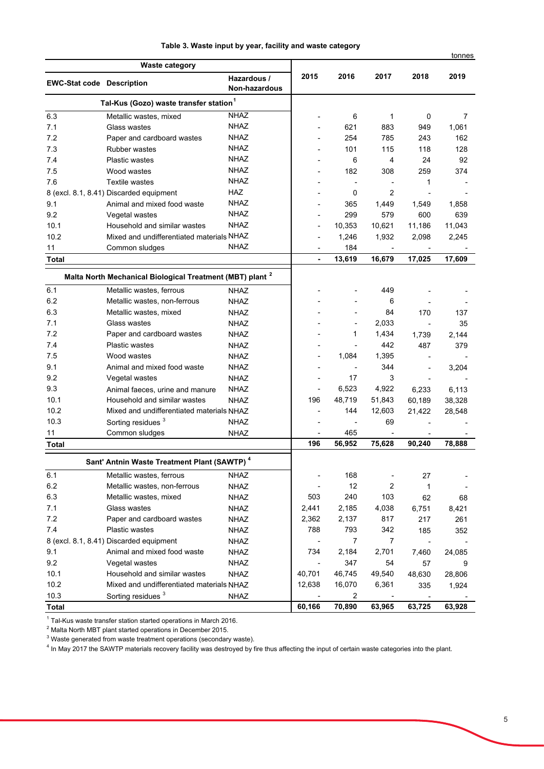|  |  |  |  |  |  |  |  |  |  |  |  |  | Table 3. Waste input by year, facility and waste category |  |
|--|--|--|--|--|--|--|--|--|--|--|--|--|-----------------------------------------------------------|--|
|--|--|--|--|--|--|--|--|--|--|--|--|--|-----------------------------------------------------------|--|

|                                  |                                                                      |                                     |        |                          |                |                | tonnes |
|----------------------------------|----------------------------------------------------------------------|-------------------------------------|--------|--------------------------|----------------|----------------|--------|
|                                  | <b>Waste category</b>                                                |                                     |        |                          |                |                |        |
| <b>EWC-Stat code Description</b> |                                                                      | Hazardous /<br><b>Non-hazardous</b> | 2015   | 2016                     | 2017           | 2018           | 2019   |
|                                  | Tal-Kus (Gozo) waste transfer station <sup>1</sup>                   |                                     |        |                          |                |                |        |
| 6.3                              | Metallic wastes, mixed                                               | <b>NHAZ</b>                         |        | 6                        | 1              | 0              | 7      |
| 7.1                              | Glass wastes                                                         | <b>NHAZ</b>                         |        | 621                      | 883            | 949            | 1,061  |
| 7.2                              | Paper and cardboard wastes                                           | <b>NHAZ</b>                         |        | 254                      | 785            | 243            | 162    |
| 7.3                              | <b>Rubber wastes</b>                                                 | <b>NHAZ</b>                         |        | 101                      | 115            | 118            | 128    |
| 7.4                              | <b>Plastic wastes</b>                                                | <b>NHAZ</b>                         |        | 6                        | 4              | 24             | 92     |
| 7.5                              | Wood wastes                                                          | <b>NHAZ</b>                         |        | 182                      | 308            | 259            | 374    |
| 7.6                              | <b>Textile wastes</b>                                                | <b>NHAZ</b>                         |        |                          |                | 1              |        |
|                                  | 8 (excl. 8.1, 8.41) Discarded equipment                              | HAZ                                 |        | 0                        | $\overline{2}$ |                |        |
| 9.1                              | Animal and mixed food waste                                          | <b>NHAZ</b>                         |        | 365                      | 1,449          | 1,549          | 1,858  |
| 9.2                              | Vegetal wastes                                                       | <b>NHAZ</b>                         |        | 299                      | 579            | 600            | 639    |
| 10.1                             | Household and similar wastes                                         | <b>NHAZ</b>                         |        | 10,353                   | 10,621         | 11,186         | 11,043 |
| 10.2                             | Mixed and undifferentiated materials NHAZ                            |                                     |        | 1,246                    | 1,932          | 2,098          | 2,245  |
| 11                               | Common sludges                                                       | <b>NHAZ</b>                         |        | 184                      |                |                |        |
| <b>Total</b>                     |                                                                      |                                     |        | 13,619                   | 16,679         | 17,025         | 17,609 |
|                                  | Malta North Mechanical Biological Treatment (MBT) plant <sup>2</sup> |                                     |        |                          |                |                |        |
| 6.1                              | Metallic wastes, ferrous                                             | <b>NHAZ</b>                         |        |                          | 449            |                |        |
| 6.2                              | Metallic wastes, non-ferrous                                         | <b>NHAZ</b>                         |        |                          | 6              |                |        |
| 6.3                              | Metallic wastes, mixed                                               | <b>NHAZ</b>                         |        |                          | 84             | 170            | 137    |
| 7.1                              | Glass wastes                                                         | <b>NHAZ</b>                         |        |                          | 2,033          |                | 35     |
| 7.2                              | Paper and cardboard wastes                                           | <b>NHAZ</b>                         |        | 1                        | 1,434          | 1,739          | 2,144  |
| 7.4                              | <b>Plastic wastes</b>                                                | <b>NHAZ</b>                         |        |                          | 442            | 487            | 379    |
| 7.5                              | Wood wastes                                                          | <b>NHAZ</b>                         |        | 1,084                    | 1,395          |                |        |
| 9.1                              | Animal and mixed food waste                                          | <b>NHAZ</b>                         |        | $\overline{\phantom{a}}$ | 344            |                | 3,204  |
| 9.2                              | Vegetal wastes                                                       | <b>NHAZ</b>                         |        | 17                       | 3              |                |        |
| 9.3                              | Animal faeces, urine and manure                                      | <b>NHAZ</b>                         | ÷,     | 6,523                    | 4,922          | 6,233          | 6,113  |
| 10.1                             | Household and similar wastes                                         | <b>NHAZ</b>                         | 196    | 48,719                   | 51,843         | 60,189         | 38,328 |
| 10.2                             | Mixed and undifferentiated materials NHAZ                            |                                     | ٠      | 144                      | 12,603         | 21,422         | 28,548 |
| 10.3                             | Sorting residues <sup>3</sup>                                        | <b>NHAZ</b>                         |        |                          | 69             |                |        |
| 11                               | Common sludges                                                       | <b>NHAZ</b>                         |        | 465                      |                |                |        |
| Total                            |                                                                      |                                     | 196    | 56,952                   | 75,628         | 90,240         | 78,888 |
|                                  |                                                                      |                                     |        |                          |                |                |        |
|                                  | Sant' Antnin Waste Treatment Plant (SAWTP) <sup>4</sup>              |                                     |        |                          |                |                |        |
| 6.1                              | Metallic wastes, ferrous                                             | <b>NHAZ</b>                         |        | 168                      |                | 27             |        |
| 6.2                              | Metallic wastes, non-ferrous                                         | <b>NHAZ</b>                         |        | 12                       | 2              | 1              |        |
| 6.3                              | Metallic wastes, mixed                                               | <b>NHAZ</b>                         | 503    | 240                      | 103            | 62             | 68     |
| 7.1                              | Glass wastes                                                         | <b>NHAZ</b>                         | 2,441  | 2,185                    | 4,038          | 6,751          | 8,421  |
| 7.2                              | Paper and cardboard wastes                                           | <b>NHAZ</b>                         | 2,362  | 2,137                    | 817            | 217            | 261    |
| 7.4                              | <b>Plastic wastes</b>                                                | <b>NHAZ</b>                         | 788    | 793                      | 342            | 185            | 352    |
|                                  | 8 (excl. 8.1, 8.41) Discarded equipment                              | <b>NHAZ</b>                         |        | $\overline{7}$           | $\overline{7}$ | $\overline{a}$ |        |
| 9.1                              | Animal and mixed food waste                                          | <b>NHAZ</b>                         | 734    | 2,184                    | 2,701          | 7,460          | 24,085 |
| 9.2                              | Vegetal wastes                                                       | <b>NHAZ</b>                         |        | 347                      | 54             | 57             | 9      |
| 10.1                             | Household and similar wastes                                         | <b>NHAZ</b>                         | 40,701 | 46,745                   | 49,540         | 48,630         | 28,806 |
| 10.2                             | Mixed and undifferentiated materials NHAZ                            |                                     | 12,638 | 16,070                   | 6,361          | 335            | 1,924  |
| 10.3                             | Sorting residues <sup>3</sup>                                        | <b>NHAZ</b>                         |        | $\overline{2}$           |                |                |        |
| <b>Total</b>                     |                                                                      |                                     | 60,166 | 70,890                   | 63,965         | 63,725         | 63,928 |

<sup>1</sup> Tal-Kus waste transfer station started operations in March 2016.<br><sup>2</sup> Malta North MBT plant started operations in December 2015.<br><sup>3</sup> Waste generated from waste treatment operations (secondary waste).<br><sup>4</sup> In May 2017 the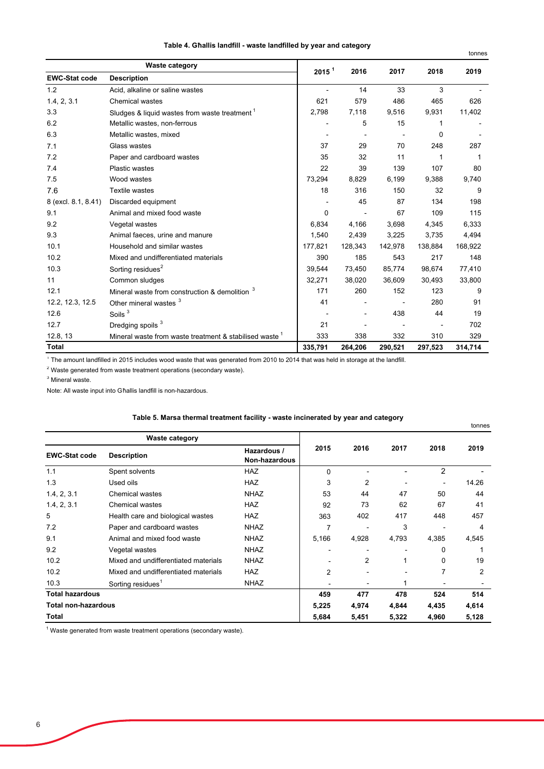|  | Table 4. Għallis landfill - waste landfilled by year and category |
|--|-------------------------------------------------------------------|
|--|-------------------------------------------------------------------|

|                      | <b>Waste category</b>                                   | 2015 <sup>1</sup> | 2016    | 2017    | 2018    | 2019    |
|----------------------|---------------------------------------------------------|-------------------|---------|---------|---------|---------|
| <b>EWC-Stat code</b> | <b>Description</b>                                      |                   |         |         |         |         |
| 1.2                  | Acid, alkaline or saline wastes                         |                   | 14      | 33      | 3       |         |
| 1.4, 2, 3.1          | <b>Chemical wastes</b>                                  | 621               | 579     | 486     | 465     | 626     |
| 3.3                  | Sludges & liquid wastes from waste treatment 1          | 2,798             | 7,118   | 9,516   | 9,931   | 11,402  |
| 6.2                  | Metallic wastes, non-ferrous                            |                   | 5       | 15      | 1       |         |
| 6.3                  | Metallic wastes, mixed                                  |                   |         |         | 0       |         |
| 7.1                  | Glass wastes                                            | 37                | 29      | 70      | 248     | 287     |
| 7.2                  | Paper and cardboard wastes                              | 35                | 32      | 11      | 1       | 1       |
| 7.4                  | Plastic wastes                                          | 22                | 39      | 139     | 107     | 80      |
| 7.5                  | Wood wastes                                             | 73,294            | 8,829   | 6,199   | 9,388   | 9,740   |
| 7.6                  | <b>Textile wastes</b>                                   | 18                | 316     | 150     | 32      | 9       |
| 8 (excl. 8.1, 8.41)  | Discarded equipment                                     |                   | 45      | 87      | 134     | 198     |
| 9.1                  | Animal and mixed food waste                             | 0                 |         | 67      | 109     | 115     |
| 9.2                  | Vegetal wastes                                          | 6,834             | 4,166   | 3,698   | 4,345   | 6,333   |
| 9.3                  | Animal faeces, urine and manure                         | 1,540             | 2,439   | 3,225   | 3,735   | 4,494   |
| 10.1                 | Household and similar wastes                            | 177,821           | 128,343 | 142,978 | 138,884 | 168,922 |
| 10.2                 | Mixed and undifferentiated materials                    | 390               | 185     | 543     | 217     | 148     |
| 10.3                 | Sorting residues <sup>2</sup>                           | 39.544            | 73.450  | 85.774  | 98,674  | 77,410  |
| 11                   | Common sludges                                          | 32,271            | 38,020  | 36,609  | 30,493  | 33,800  |
| 12.1                 | Mineral waste from construction & demolition 3          | 171               | 260     | 152     | 123     | 9       |
| 12.2, 12.3, 12.5     | Other mineral wastes <sup>3</sup>                       | 41                |         |         | 280     | 91      |
| 12.6                 | Soils <sup>3</sup>                                      |                   |         | 438     | 44      | 19      |
| 12.7                 | Dredging spoils 3                                       | 21                |         |         |         | 702     |
| 12.8, 13             | Mineral waste from waste treatment & stabilised waste 1 | 333               | 338     | 332     | 310     | 329     |
| <b>Total</b>         |                                                         | 335,791           | 264.206 | 290.521 | 297,523 | 314,714 |

 $1$  The amount landfilled in 2015 includes wood waste that was generated from 2010 to 2014 that was held in storage at the landfill.

 $2$  Waste generated from waste treatment operations (secondary waste).

<sup>3</sup> Mineral waste.

Note: All waste input into Għallis landfill is non-hazardous.

## **Table 5. Marsa thermal treatment facility - waste incinerated by year and category**

|                            |                                      |                              |                |       |       |          | tonnes |
|----------------------------|--------------------------------------|------------------------------|----------------|-------|-------|----------|--------|
|                            | <b>Waste category</b>                |                              |                |       |       |          |        |
| <b>EWC-Stat code</b>       | <b>Description</b>                   | Hazardous /<br>Non-hazardous | 2015           | 2016  | 2017  | 2018     | 2019   |
| 1.1                        | Spent solvents                       | <b>HAZ</b>                   | $\mathbf{0}$   |       |       | 2        |        |
| 1.3                        | Used oils                            | <b>HAZ</b>                   | 3              | 2     |       |          | 14.26  |
| 1.4, 2, 3.1                | <b>Chemical wastes</b>               | <b>NHAZ</b>                  | 53             | 44    | 47    | 50       | 44     |
| 1.4, 2, 3.1                | <b>Chemical wastes</b>               | <b>HAZ</b>                   | 92             | 73    | 62    | 67       | 41     |
| 5                          | Health care and biological wastes    | <b>HAZ</b>                   | 363            | 402   | 417   | 448      | 457    |
| 7.2                        | Paper and cardboard wastes           | <b>NHAZ</b>                  | 7              |       | 3     |          | 4      |
| 9.1                        | Animal and mixed food waste          | <b>NHAZ</b>                  | 5,166          | 4,928 | 4,793 | 4,385    | 4,545  |
| 9.2                        | Vegetal wastes                       | <b>NHAZ</b>                  |                |       |       | 0        |        |
| 10.2                       | Mixed and undifferentiated materials | <b>NHAZ</b>                  |                | 2     |       | $\Omega$ | 19     |
| 10.2                       | Mixed and undifferentiated materials | <b>HAZ</b>                   | $\overline{2}$ |       |       |          | 2      |
| 10.3                       | Sorting residues <sup>1</sup>        | <b>NHAZ</b>                  |                |       |       |          |        |
| <b>Total hazardous</b>     |                                      |                              | 459            | 477   | 478   | 524      | 514    |
| <b>Total non-hazardous</b> |                                      |                              | 5,225          | 4,974 | 4,844 | 4,435    | 4,614  |
| Total                      |                                      |                              | 5,684          | 5,451 | 5,322 | 4,960    | 5,128  |

 $1$  Waste generated from waste treatment operations (secondary waste).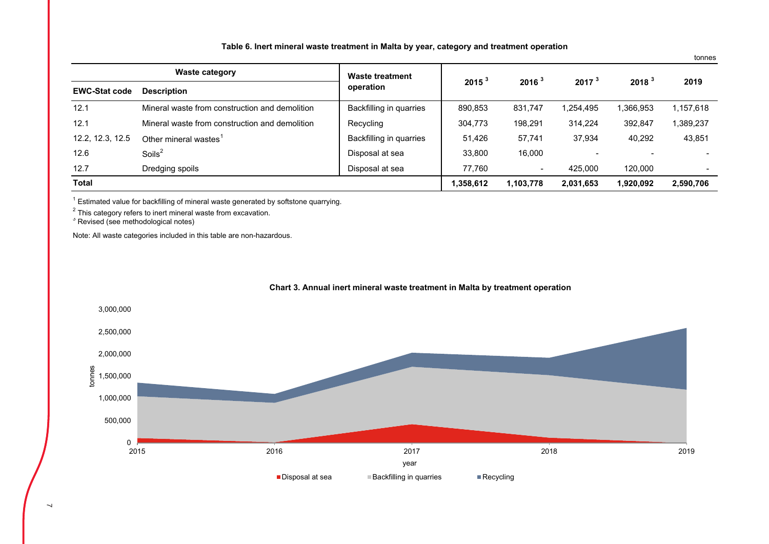| Table 6. Inert mineral waste treatment in Malta by year, category and treatment operation |  |  |  |  |
|-------------------------------------------------------------------------------------------|--|--|--|--|
|-------------------------------------------------------------------------------------------|--|--|--|--|

tonnes

|                      | <b>Waste category</b>                          | Waste treatment         |                   |                   |                   |                   | 2019      |
|----------------------|------------------------------------------------|-------------------------|-------------------|-------------------|-------------------|-------------------|-----------|
| <b>EWC-Stat code</b> | <b>Description</b>                             | operation               | 2015 <sup>3</sup> | 2016 <sup>3</sup> | 2017 <sup>3</sup> | 2018 <sup>3</sup> |           |
| 12.1                 | Mineral waste from construction and demolition | Backfilling in quarries | 890,853           | 831.747           | 1,254,495         | 1.366.953         | 1,157,618 |
| 12.1                 | Mineral waste from construction and demolition | Recycling               | 304,773           | 198,291           | 314,224           | 392,847           | 1,389,237 |
| 12.2, 12.3, 12.5     | Other mineral wastes <sup>1</sup>              | Backfilling in quarries | 51,426            | 57,741            | 37,934            | 40,292            | 43,851    |
| 12.6                 | Soils $2$                                      | Disposal at sea         | 33,800            | 16,000            |                   |                   |           |
| 12.7                 | Dredging spoils                                | Disposal at sea         | 77.760            | $\blacksquare$    | 425.000           | 120.000           |           |
| <b>Total</b>         |                                                |                         | 1,358,612         | 1,103,778         | 2,031,653         | 1,920,092         | 2,590,706 |

 $1$  Estimated value for backfilling of mineral waste generated by softstone quarrying.

 $^{\rm 2}$  This category refers to inert mineral waste from excavation.

<sup>3</sup> Revised (see methodological notes)

Note: All waste categories included in this table are non-hazardous.



## **Chart 3. Annual inert mineral waste treatment in Malta by treatment operation**

 $\overline{\phantom{0}}$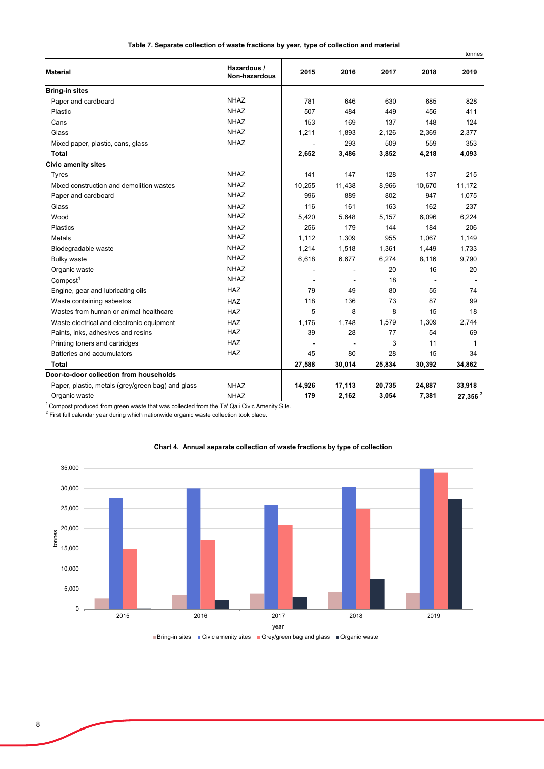| Table 7. Separate collection of waste fractions by year, type of collection and material |  |
|------------------------------------------------------------------------------------------|--|
|------------------------------------------------------------------------------------------|--|

tonnes

|                                                   |                              |        |        |        |        | ພາກບວ      |
|---------------------------------------------------|------------------------------|--------|--------|--------|--------|------------|
| <b>Material</b>                                   | Hazardous /<br>Non-hazardous | 2015   | 2016   | 2017   | 2018   | 2019       |
| <b>Bring-in sites</b>                             |                              |        |        |        |        |            |
| Paper and cardboard                               | <b>NHAZ</b>                  | 781    | 646    | 630    | 685    | 828        |
| Plastic                                           | <b>NHAZ</b>                  | 507    | 484    | 449    | 456    | 411        |
| Cans                                              | <b>NHAZ</b>                  | 153    | 169    | 137    | 148    | 124        |
| Glass                                             | <b>NHAZ</b>                  | 1,211  | 1,893  | 2,126  | 2,369  | 2,377      |
| Mixed paper, plastic, cans, glass                 | <b>NHAZ</b>                  |        | 293    | 509    | 559    | 353        |
| <b>Total</b>                                      |                              | 2,652  | 3,486  | 3,852  | 4,218  | 4,093      |
| <b>Civic amenity sites</b>                        |                              |        |        |        |        |            |
| <b>Tyres</b>                                      | <b>NHAZ</b>                  | 141    | 147    | 128    | 137    | 215        |
| Mixed construction and demolition wastes          | <b>NHAZ</b>                  | 10,255 | 11,438 | 8,966  | 10,670 | 11,172     |
| Paper and cardboard                               | <b>NHAZ</b>                  | 996    | 889    | 802    | 947    | 1,075      |
| Glass                                             | <b>NHAZ</b>                  | 116    | 161    | 163    | 162    | 237        |
| Wood                                              | <b>NHAZ</b>                  | 5,420  | 5,648  | 5,157  | 6,096  | 6,224      |
| <b>Plastics</b>                                   | <b>NHAZ</b>                  | 256    | 179    | 144    | 184    | 206        |
| Metals                                            | <b>NHAZ</b>                  | 1,112  | 1,309  | 955    | 1,067  | 1,149      |
| Biodegradable waste                               | <b>NHAZ</b>                  | 1,214  | 1,518  | 1,361  | 1,449  | 1,733      |
| <b>Bulky waste</b>                                | <b>NHAZ</b>                  | 6,618  | 6,677  | 6,274  | 8,116  | 9,790      |
| Organic waste                                     | <b>NHAZ</b>                  |        |        | 20     | 16     | 20         |
| Compost <sup>1</sup>                              | <b>NHAZ</b>                  |        |        | 18     |        |            |
| Engine, gear and lubricating oils                 | <b>HAZ</b>                   | 79     | 49     | 80     | 55     | 74         |
| Waste containing asbestos                         | <b>HAZ</b>                   | 118    | 136    | 73     | 87     | 99         |
| Wastes from human or animal healthcare            | <b>HAZ</b>                   | 5      | 8      | 8      | 15     | 18         |
| Waste electrical and electronic equipment         | <b>HAZ</b>                   | 1,176  | 1.748  | 1,579  | 1,309  | 2,744      |
| Paints, inks, adhesives and resins                | <b>HAZ</b>                   | 39     | 28     | 77     | 54     | 69         |
| Printing toners and cartridges                    | HAZ                          |        |        | 3      | 11     | 1          |
| Batteries and accumulators                        | <b>HAZ</b>                   | 45     | 80     | 28     | 15     | 34         |
| Total                                             |                              | 27,588 | 30,014 | 25,834 | 30,392 | 34,862     |
| Door-to-door collection from households           |                              |        |        |        |        |            |
| Paper, plastic, metals (grey/green bag) and glass | <b>NHAZ</b>                  | 14,926 | 17,113 | 20,735 | 24,887 | 33,918     |
| Organic waste                                     | <b>NHAZ</b>                  | 179    | 2,162  | 3,054  | 7,381  | 27,356 $2$ |

<sup>1</sup> Compost produced from green waste that was collected from the Ta' Qali Civic Amenity Site.

 $2$  First full calendar year during which nationwide organic waste collection took place.



## **Chart 4. Annual separate collection of waste fractions by type of collection**

Bring-in sites  $\Box$  Civic amenity sites  $\Box$  Grey/green bag and glass  $\Box$  Organic waste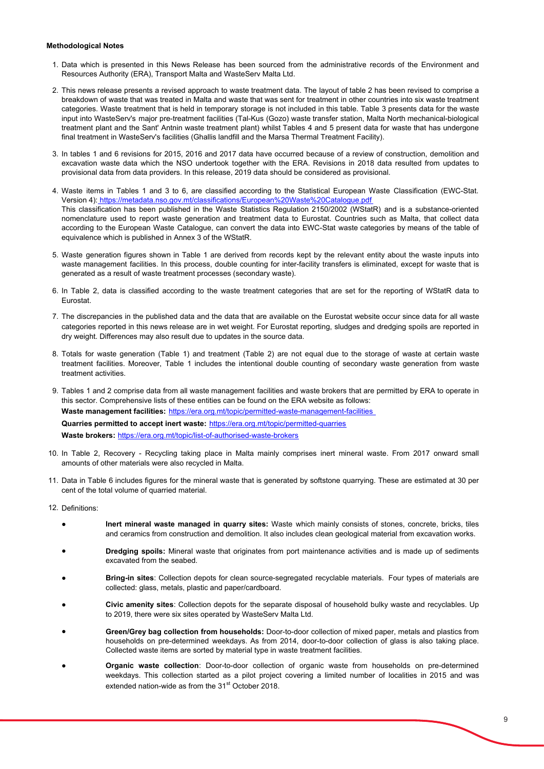#### **Methodological Notes**

- 1. Data which is presented in this News Release has been sourced from the administrative records of the Environment and Resources Authority (ERA), Transport Malta and WasteServ Malta Ltd.
- 2. This news release presents a revised approach to waste treatment data. The layout of table 2 has been revised to comprise a breakdown of waste that was treated in Malta and waste that was sent for treatment in other countries into six waste treatment categories. Waste treatment that is held in temporary storage is not included in this table. Table 3 presents data for the waste input into WasteServ's major pre-treatment facilities (Tal-Kus (Gozo) waste transfer station, Malta North mechanical-biological treatment plant and the Sant' Antnin waste treatment plant) whilst Tables 4 and 5 present data for waste that has undergone final treatment in WasteServ's facilities (Ghallis landfill and the Marsa Thermal Treatment Facility).
- 3. In tables 1 and 6 revisions for 2015, 2016 and 2017 data have occurred because of a review of construction, demolition and excavation waste data which the NSO undertook together with the ERA. Revisions in 2018 data resulted from updates to provisional data from data providers. In this release, 2019 data should be considered as provisional.
- 4. Waste items in Tables 1 and 3 to 6, are classified according to the Statistical European Waste Classification (EWC-Stat. Version 4): https://metadata.nso.gov.mt/classifications/European%20Waste%20Catalogue.pdf This classification has been published in the Waste Statistics Regulation 2150/2002 (WStatR) and is a substance-oriented nomenclature used to report waste generation and treatment data to Eurostat. Countries such as Malta, that collect data according to the European Waste Catalogue, can convert the data into EWC-Stat waste categories by means of the table of equivalence which is published in Annex 3 of the WStatR.
- 5. Waste generation figures shown in Table 1 are derived from records kept by the relevant entity about the waste inputs into waste management facilities. In this process, double counting for inter-facility transfers is eliminated, except for waste that is generated as a result of waste treatment processes (secondary waste).
- 6. In Table 2, data is classified according to the waste treatment categories that are set for the reporting of WStatR data to Eurostat.
- 7. The discrepancies in the published data and the data that are available on the Eurostat website occur since data for all waste categories reported in this news release are in wet weight. For Eurostat reporting, sludges and dredging spoils are reported in dry weight. Differences may also result due to updates in the source data.
- 8. Totals for waste generation (Table 1) and treatment (Table 2) are not equal due to the storage of waste at certain waste treatment facilities. Moreover, Table 1 includes the intentional double counting of secondary waste generation from waste treatment activities.
- 9. Tables 1 and 2 comprise data from all waste management facilities and waste brokers that are permitted by ERA to operate in this sector. Comprehensive lists of these entities can be found on the ERA website as follows: **Waste management facilities:** https://era.org.mt/topic/permitted-waste-management-facilities **Quarries permitted to accept inert waste:** https://era.org.mt/topic/permitted-quarries **Waste brokers:** https://era.org.mt/topic/list-of-authorised-waste-brokers
- 10. In Table 2, Recovery Recycling taking place in Malta mainly comprises inert mineral waste. From 2017 onward small amounts of other materials were also recycled in Malta.
- 11. Data in Table 6 includes figures for the mineral waste that is generated by softstone quarrying. These are estimated at 30 per cent of the total volume of quarried material.
- 12. Definitions:
	- **Inert mineral waste managed in quarry sites:** Waste which mainly consists of stones, concrete, bricks, tiles and ceramics from construction and demolition. It also includes clean geological material from excavation works.
	- **Dredging spoils:** Mineral waste that originates from port maintenance activities and is made up of sediments excavated from the seabed.
	- **Bring-in sites**: Collection depots for clean source-segregated recyclable materials. Four types of materials are collected: glass, metals, plastic and paper/cardboard.
	- **Civic amenity sites**: Collection depots for the separate disposal of household bulky waste and recyclables. Up to 2019, there were six sites operated by WasteServ Malta Ltd.
	- **Green/Grey bag collection from households:** Door-to-door collection of mixed paper, metals and plastics from households on pre-determined weekdays. As from 2014, door-to-door collection of glass is also taking place. Collected waste items are sorted by material type in waste treatment facilities.
	- **Organic waste collection**: Door-to-door collection of organic waste from households on pre-determined weekdays. This collection started as a pilot project covering a limited number of localities in 2015 and was extended nation-wide as from the 31<sup>st</sup> October 2018.